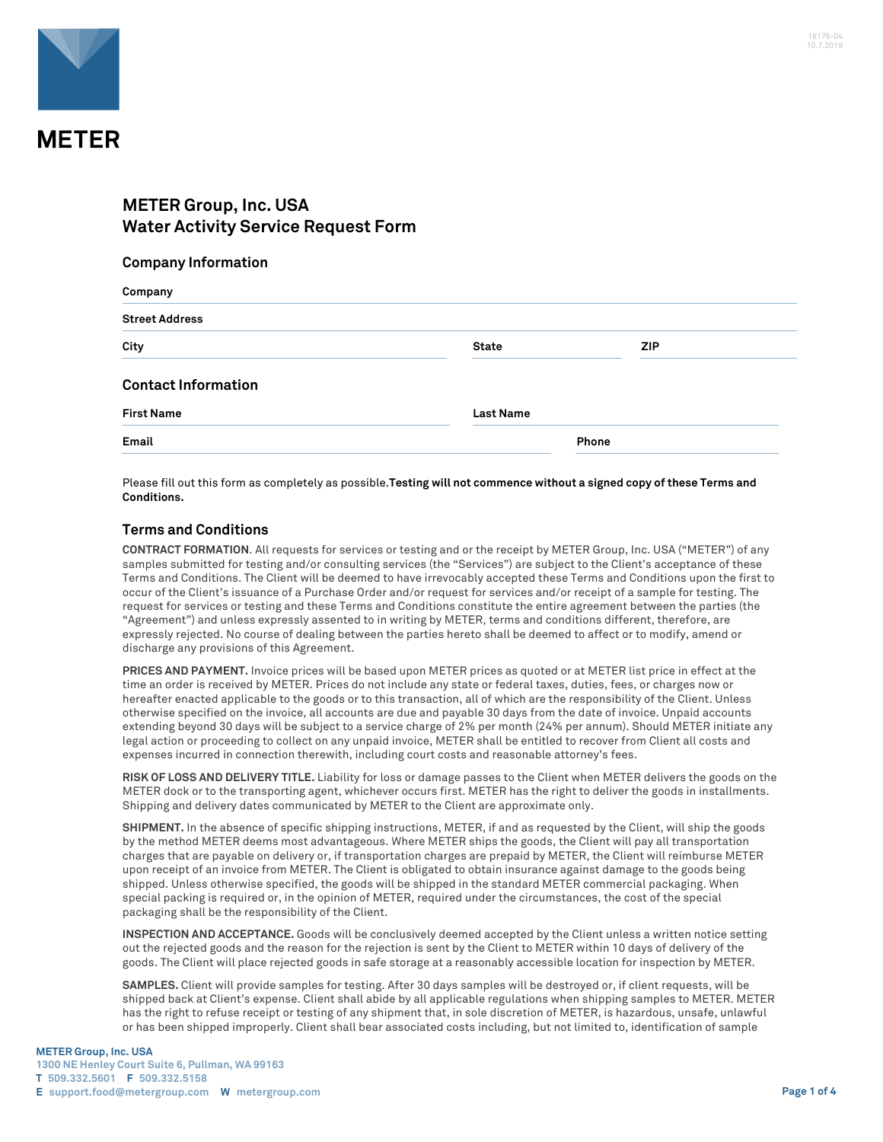

## **METER Group, Inc. USA Water Activity Service Request Form**

## **Company Information**

| Company                    |                  |            |  |  |
|----------------------------|------------------|------------|--|--|
| <b>Street Address</b>      |                  |            |  |  |
| City                       | <b>State</b>     | <b>ZIP</b> |  |  |
| <b>Contact Information</b> |                  |            |  |  |
| <b>First Name</b>          | <b>Last Name</b> |            |  |  |
| Email                      |                  | Phone      |  |  |

Please fill out this form as completely as possible.**Testing will not commence without a signed copy of these Terms and Conditions.**

## **Terms and Conditions**

**CONTRACT FORMATION**. All requests for services or testing and or the receipt by METER Group, Inc. USA ("METER") of any samples submitted for testing and/or consulting services (the "Services") are subject to the Client's acceptance of these Terms and Conditions. The Client will be deemed to have irrevocably accepted these Terms and Conditions upon the first to occur of the Client's issuance of a Purchase Order and/or request for services and/or receipt of a sample for testing. The request for services or testing and these Terms and Conditions constitute the entire agreement between the parties (the "Agreement") and unless expressly assented to in writing by METER, terms and conditions different, therefore, are expressly rejected. No course of dealing between the parties hereto shall be deemed to affect or to modify, amend or discharge any provisions of this Agreement.

**PRICES AND PAYMENT.** Invoice prices will be based upon METER prices as quoted or at METER list price in effect at the time an order is received by METER. Prices do not include any state or federal taxes, duties, fees, or charges now or hereafter enacted applicable to the goods or to this transaction, all of which are the responsibility of the Client. Unless otherwise specified on the invoice, all accounts are due and payable 30 days from the date of invoice. Unpaid accounts extending beyond 30 days will be subject to a service charge of 2% per month (24% per annum). Should METER initiate any legal action or proceeding to collect on any unpaid invoice, METER shall be entitled to recover from Client all costs and expenses incurred in connection therewith, including court costs and reasonable attorney's fees.

**RISK OF LOSS AND DELIVERY TITLE.** Liability for loss or damage passes to the Client when METER delivers the goods on the METER dock or to the transporting agent, whichever occurs first. METER has the right to deliver the goods in installments. Shipping and delivery dates communicated by METER to the Client are approximate only.

**SHIPMENT.** In the absence of specific shipping instructions, METER, if and as requested by the Client, will ship the goods by the method METER deems most advantageous. Where METER ships the goods, the Client will pay all transportation charges that are payable on delivery or, if transportation charges are prepaid by METER, the Client will reimburse METER upon receipt of an invoice from METER. The Client is obligated to obtain insurance against damage to the goods being shipped. Unless otherwise specified, the goods will be shipped in the standard METER commercial packaging. When special packing is required or, in the opinion of METER, required under the circumstances, the cost of the special packaging shall be the responsibility of the Client.

**INSPECTION AND ACCEPTANCE.** Goods will be conclusively deemed accepted by the Client unless a written notice setting out the rejected goods and the reason for the rejection is sent by the Client to METER within 10 days of delivery of the goods. The Client will place rejected goods in safe storage at a reasonably accessible location for inspection by METER.

**SAMPLES.** Client will provide samples for testing. After 30 days samples will be destroyed or, if client requests, will be shipped back at Client's expense. Client shall abide by all applicable regulations when shipping samples to METER. METER has the right to refuse receipt or testing of any shipment that, in sole discretion of METER, is hazardous, unsafe, unlawful or has been shipped improperly. Client shall bear associated costs including, but not limited to, identification of sample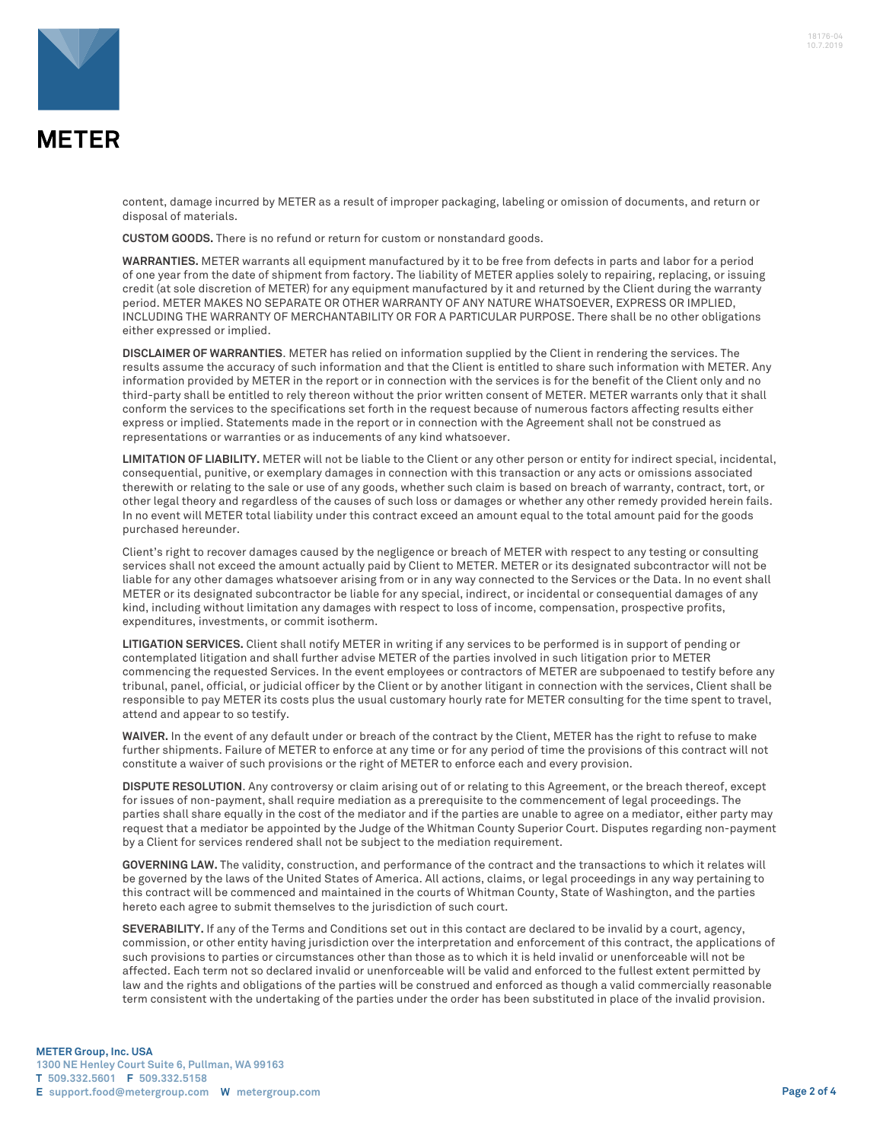

content, damage incurred by METER as a result of improper packaging, labeling or omission of documents, and return or disposal of materials.

**CUSTOM GOODS.** There is no refund or return for custom or nonstandard goods.

**WARRANTIES.** METER warrants all equipment manufactured by it to be free from defects in parts and labor for a period of one year from the date of shipment from factory. The liability of METER applies solely to repairing, replacing, or issuing credit (at sole discretion of METER) for any equipment manufactured by it and returned by the Client during the warranty period. METER MAKES NO SEPARATE OR OTHER WARRANTY OF ANY NATURE WHATSOEVER, EXPRESS OR IMPLIED, INCLUDING THE WARRANTY OF MERCHANTABILITY OR FOR A PARTICULAR PURPOSE. There shall be no other obligations either expressed or implied.

**DISCLAIMER OF WARRANTIES**. METER has relied on information supplied by the Client in rendering the services. The results assume the accuracy of such information and that the Client is entitled to share such information with METER. Any information provided by METER in the report or in connection with the services is for the benefit of the Client only and no third-party shall be entitled to rely thereon without the prior written consent of METER. METER warrants only that it shall conform the services to the specifications set forth in the request because of numerous factors affecting results either express or implied. Statements made in the report or in connection with the Agreement shall not be construed as representations or warranties or as inducements of any kind whatsoever.

**LIMITATION OF LIABILITY.** METER will not be liable to the Client or any other person or entity for indirect special, incidental, consequential, punitive, or exemplary damages in connection with this transaction or any acts or omissions associated therewith or relating to the sale or use of any goods, whether such claim is based on breach of warranty, contract, tort, or other legal theory and regardless of the causes of such loss or damages or whether any other remedy provided herein fails. In no event will METER total liability under this contract exceed an amount equal to the total amount paid for the goods purchased hereunder.

Client's right to recover damages caused by the negligence or breach of METER with respect to any testing or consulting services shall not exceed the amount actually paid by Client to METER. METER or its designated subcontractor will not be liable for any other damages whatsoever arising from or in any way connected to the Services or the Data. In no event shall METER or its designated subcontractor be liable for any special, indirect, or incidental or consequential damages of any kind, including without limitation any damages with respect to loss of income, compensation, prospective profits, expenditures, investments, or commit isotherm.

**LITIGATION SERVICES.** Client shall notify METER in writing if any services to be performed is in support of pending or contemplated litigation and shall further advise METER of the parties involved in such litigation prior to METER commencing the requested Services. In the event employees or contractors of METER are subpoenaed to testify before any tribunal, panel, official, or judicial officer by the Client or by another litigant in connection with the services, Client shall be responsible to pay METER its costs plus the usual customary hourly rate for METER consulting for the time spent to travel, attend and appear to so testify.

**WAIVER.** In the event of any default under or breach of the contract by the Client, METER has the right to refuse to make further shipments. Failure of METER to enforce at any time or for any period of time the provisions of this contract will not constitute a waiver of such provisions or the right of METER to enforce each and every provision.

**DISPUTE RESOLUTION**. Any controversy or claim arising out of or relating to this Agreement, or the breach thereof, except for issues of non-payment, shall require mediation as a prerequisite to the commencement of legal proceedings. The parties shall share equally in the cost of the mediator and if the parties are unable to agree on a mediator, either party may request that a mediator be appointed by the Judge of the Whitman County Superior Court. Disputes regarding non-payment by a Client for services rendered shall not be subject to the mediation requirement.

**GOVERNING LAW.** The validity, construction, and performance of the contract and the transactions to which it relates will be governed by the laws of the United States of America. All actions, claims, or legal proceedings in any way pertaining to this contract will be commenced and maintained in the courts of Whitman County, State of Washington, and the parties hereto each agree to submit themselves to the jurisdiction of such court.

**SEVERABILITY.** If any of the Terms and Conditions set out in this contact are declared to be invalid by a court, agency, commission, or other entity having jurisdiction over the interpretation and enforcement of this contract, the applications of such provisions to parties or circumstances other than those as to which it is held invalid or unenforceable will not be affected. Each term not so declared invalid or unenforceable will be valid and enforced to the fullest extent permitted by law and the rights and obligations of the parties will be construed and enforced as though a valid commercially reasonable term consistent with the undertaking of the parties under the order has been substituted in place of the invalid provision.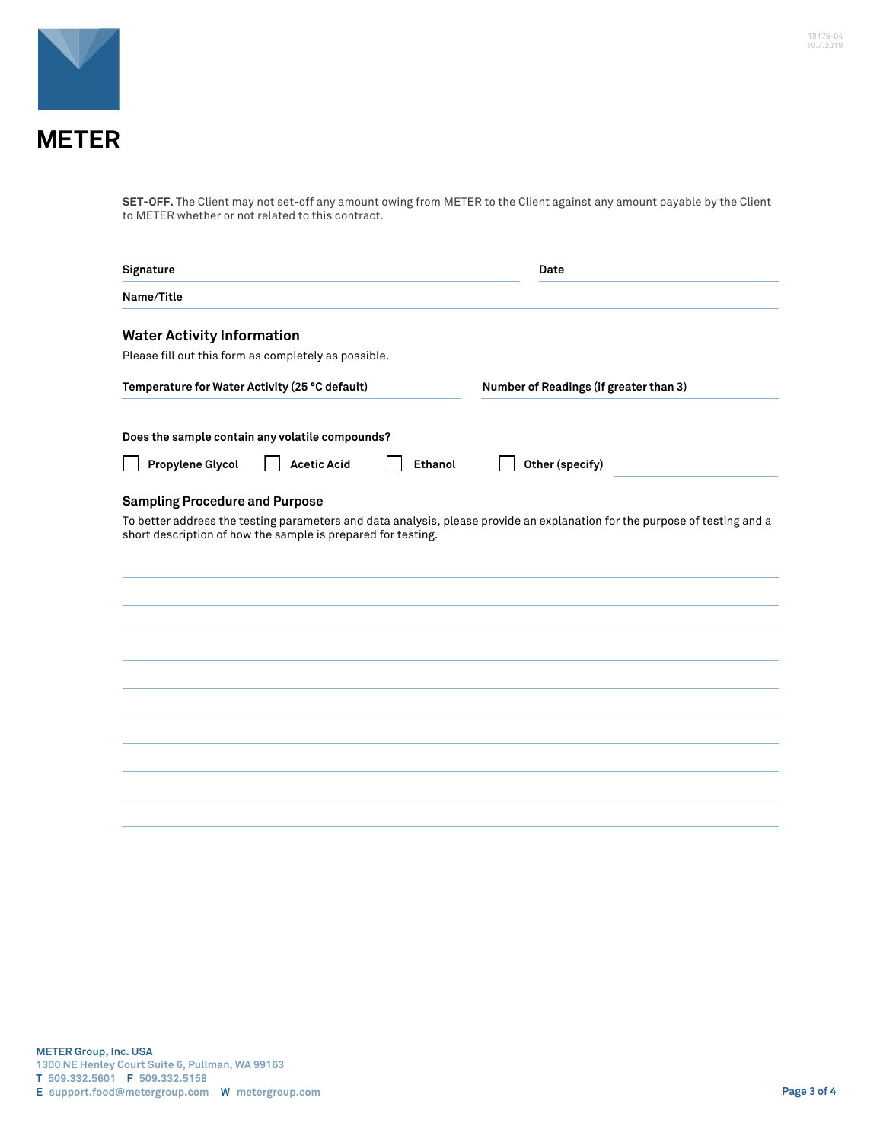

**SET-OFF.** The Client may not set-off any amount owing from METER to the Client against any amount payable by the Client to METER whether or not related to this contract.

| Signature                                                    |                    |                                        | Date                                                                                                                       |  |
|--------------------------------------------------------------|--------------------|----------------------------------------|----------------------------------------------------------------------------------------------------------------------------|--|
| Name/Title                                                   |                    |                                        |                                                                                                                            |  |
| <b>Water Activity Information</b>                            |                    |                                        |                                                                                                                            |  |
| Please fill out this form as completely as possible.         |                    |                                        |                                                                                                                            |  |
| Temperature for Water Activity (25 °C default)               |                    | Number of Readings (if greater than 3) |                                                                                                                            |  |
| Does the sample contain any volatile compounds?              |                    |                                        |                                                                                                                            |  |
| Propylene Glycol                                             | <b>Acetic Acid</b> | <b>Ethanol</b>                         | Other (specify)                                                                                                            |  |
| <b>Sampling Procedure and Purpose</b>                        |                    |                                        |                                                                                                                            |  |
| short description of how the sample is prepared for testing. |                    |                                        | To better address the testing parameters and data analysis, please provide an explanation for the purpose of testing and a |  |
|                                                              |                    |                                        |                                                                                                                            |  |
|                                                              |                    |                                        |                                                                                                                            |  |
|                                                              |                    |                                        |                                                                                                                            |  |
|                                                              |                    |                                        |                                                                                                                            |  |
|                                                              |                    |                                        |                                                                                                                            |  |
|                                                              |                    |                                        |                                                                                                                            |  |
|                                                              |                    |                                        |                                                                                                                            |  |
|                                                              |                    |                                        |                                                                                                                            |  |
|                                                              |                    |                                        |                                                                                                                            |  |
|                                                              |                    |                                        |                                                                                                                            |  |